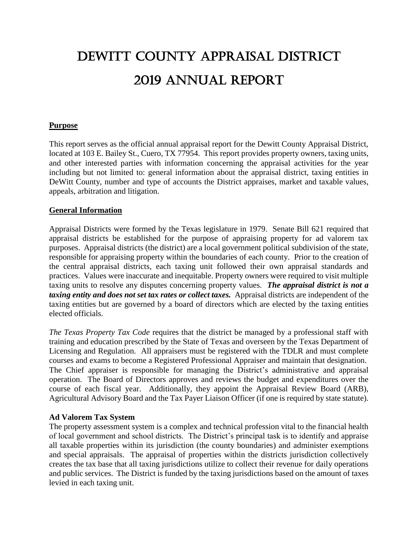# Dewitt county appraisal district 2019 annual report

## **Purpose**

This report serves as the official annual appraisal report for the Dewitt County Appraisal District, located at 103 E. Bailey St., Cuero, TX 77954. This report provides property owners, taxing units, and other interested parties with information concerning the appraisal activities for the year including but not limited to: general information about the appraisal district, taxing entities in DeWitt County, number and type of accounts the District appraises, market and taxable values, appeals, arbitration and litigation.

## **General Information**

Appraisal Districts were formed by the Texas legislature in 1979. Senate Bill 621 required that appraisal districts be established for the purpose of appraising property for ad valorem tax purposes. Appraisal districts (the district) are a local government political subdivision of the state, responsible for appraising property within the boundaries of each county. Prior to the creation of the central appraisal districts, each taxing unit followed their own appraisal standards and practices. Values were inaccurate and inequitable. Property owners were required to visit multiple taxing units to resolve any disputes concerning property values. *The appraisal district is not a taxing entity and does not set tax rates or collect taxes.* Appraisal districts are independent of the taxing entities but are governed by a board of directors which are elected by the taxing entities elected officials.

*The Texas Property Tax Code* requires that the district be managed by a professional staff with training and education prescribed by the State of Texas and overseen by the Texas Department of Licensing and Regulation. All appraisers must be registered with the TDLR and must complete courses and exams to become a Registered Professional Appraiser and maintain that designation. The Chief appraiser is responsible for managing the District's administrative and appraisal operation. The Board of Directors approves and reviews the budget and expenditures over the course of each fiscal year. Additionally, they appoint the Appraisal Review Board (ARB), Agricultural Advisory Board and the Tax Payer Liaison Officer (if one is required by state statute).

## **Ad Valorem Tax System**

The property assessment system is a complex and technical profession vital to the financial health of local government and school districts. The District's principal task is to identify and appraise all taxable properties within its jurisdiction (the county boundaries) and administer exemptions and special appraisals. The appraisal of properties within the districts jurisdiction collectively creates the tax base that all taxing jurisdictions utilize to collect their revenue for daily operations and public services. The District is funded by the taxing jurisdictions based on the amount of taxes levied in each taxing unit.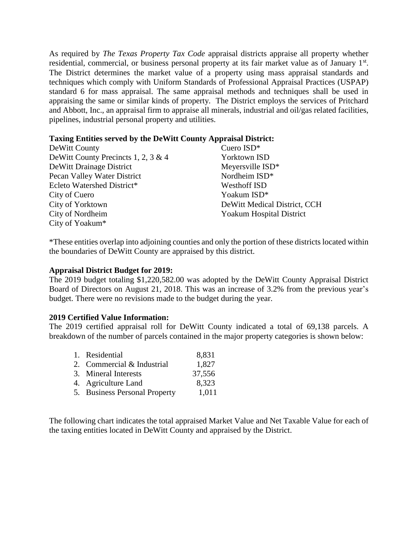As required by *The Texas Property Tax Code* appraisal districts appraise all property whether residential, commercial, or business personal property at its fair market value as of January 1<sup>st</sup>. The District determines the market value of a property using mass appraisal standards and techniques which comply with Uniform Standards of Professional Appraisal Practices (USPAP) standard 6 for mass appraisal. The same appraisal methods and techniques shall be used in appraising the same or similar kinds of property. The District employs the services of Pritchard and Abbott, Inc., an appraisal firm to appraise all minerals, industrial and oil/gas related facilities, pipelines, industrial personal property and utilities.

## **Taxing Entities served by the DeWitt County Appraisal District:**

| DeWitt County                       | Cuero ISD*                   |
|-------------------------------------|------------------------------|
| DeWitt County Precincts 1, 2, 3 & 4 | Yorktown ISD                 |
| DeWitt Drainage District            | Meyersville ISD*             |
| Pecan Valley Water District         | Nordheim ISD*                |
| Ecleto Watershed District*          | <b>Westhoff ISD</b>          |
| City of Cuero                       | Yoakum ISD*                  |
| City of Yorktown                    | DeWitt Medical District, CCH |
| City of Nordheim                    | Yoakum Hospital District     |
| City of Yoakum*                     |                              |

\*These entities overlap into adjoining counties and only the portion of these districts located within the boundaries of DeWitt County are appraised by this district.

## **Appraisal District Budget for 2019:**

The 2019 budget totaling \$1,220,582.00 was adopted by the DeWitt County Appraisal District Board of Directors on August 21, 2018. This was an increase of 3.2% from the previous year's budget. There were no revisions made to the budget during the year.

#### **2019 Certified Value Information:**

The 2019 certified appraisal roll for DeWitt County indicated a total of 69,138 parcels. A breakdown of the number of parcels contained in the major property categories is shown below:

| 1. Residential                | 8,831  |
|-------------------------------|--------|
| 2. Commercial & Industrial    | 1,827  |
| 3. Mineral Interests          | 37,556 |
| 4. Agriculture Land           | 8,323  |
| 5. Business Personal Property | 1,011  |

The following chart indicates the total appraised Market Value and Net Taxable Value for each of the taxing entities located in DeWitt County and appraised by the District.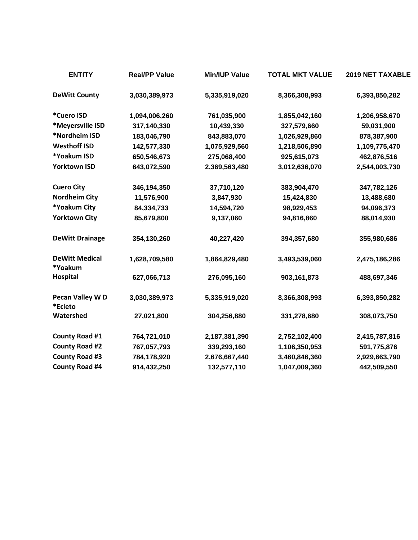| <b>ENTITY</b>                    | <b>Real/PP Value</b> | <b>Min/IUP Value</b> | <b>TOTAL MKT VALUE</b> | <b>2019 NET TAXABLE</b> |
|----------------------------------|----------------------|----------------------|------------------------|-------------------------|
| <b>DeWitt County</b>             | 3,030,389,973        | 5,335,919,020        | 8,366,308,993          | 6,393,850,282           |
| *Cuero ISD                       | 1,094,006,260        | 761,035,900          | 1,855,042,160          | 1,206,958,670           |
| *Meyersville ISD                 | 317,140,330          | 10,439,330           | 327,579,660            | 59,031,900              |
| *Nordheim ISD                    | 183,046,790          | 843,883,070          | 1,026,929,860          | 878,387,900             |
| <b>Westhoff ISD</b>              | 142,577,330          | 1,075,929,560        | 1,218,506,890          | 1,109,775,470           |
| *Yoakum ISD                      | 650,546,673          | 275,068,400          | 925,615,073            | 462,876,516             |
| <b>Yorktown ISD</b>              | 643,072,590          | 2,369,563,480        | 3,012,636,070          | 2,544,003,730           |
| <b>Cuero City</b>                | 346,194,350          | 37,710,120           | 383,904,470            | 347,782,126             |
| <b>Nordheim City</b>             | 11,576,900           | 3,847,930            | 15,424,830             | 13,488,680              |
| *Yoakum City                     | 84,334,733           | 14,594,720           | 98,929,453             | 94,096,373              |
| <b>Yorktown City</b>             | 85,679,800           | 9,137,060            | 94,816,860             | 88,014,930              |
| <b>DeWitt Drainage</b>           | 354,130,260          | 40,227,420           | 394,357,680            | 355,980,686             |
| <b>DeWitt Medical</b><br>*Yoakum | 1,628,709,580        | 1,864,829,480        | 3,493,539,060          | 2,475,186,286           |
| Hospital                         | 627,066,713          | 276,095,160          | 903,161,873            | 488,697,346             |
| Pecan Valley WD<br>*Ecleto       | 3,030,389,973        | 5,335,919,020        | 8,366,308,993          | 6,393,850,282           |
| Watershed                        | 27,021,800           | 304,256,880          | 331,278,680            | 308,073,750             |
| County Road #1                   | 764,721,010          | 2,187,381,390        | 2,752,102,400          | 2,415,787,816           |
| <b>County Road #2</b>            | 767,057,793          | 339,293,160          | 1,106,350,953          | 591,775,876             |
| <b>County Road #3</b>            | 784,178,920          | 2,676,667,440        | 3,460,846,360          | 2,929,663,790           |
| <b>County Road #4</b>            | 914,432,250          | 132,577,110          | 1,047,009,360          | 442,509,550             |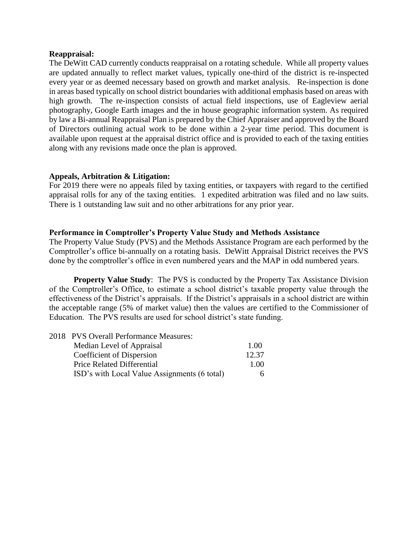#### **Reappraisal:**

The DeWitt CAD currently conducts reappraisal on a rotating schedule. While all property values are updated annually to reflect market values, typically one-third of the district is re-inspected every year or as deemed necessary based on growth and market analysis. Re-inspection is done in areas based typically on school district boundaries with additional emphasis based on areas with high growth. The re-inspection consists of actual field inspections, use of Eagleview aerial photography, Google Earth images and the in house geographic information system. As required by law a Bi-annual Reappraisal Plan is prepared by the Chief Appraiser and approved by the Board of Directors outlining actual work to be done within a 2-year time period. This document is available upon request at the appraisal district office and is provided to each of the taxing entities along with any revisions made once the plan is approved.

## **Appeals, Arbitration & Litigation:**

For 2019 there were no appeals filed by taxing entities, or taxpayers with regard to the certified appraisal rolls for any of the taxing entities. 1 expedited arbitration was filed and no law suits. There is 1 outstanding law suit and no other arbitrations for any prior year.

#### **Performance in Comptroller's Property Value Study and Methods Assistance**

The Property Value Study (PVS) and the Methods Assistance Program are each performed by the Comptroller's office bi-annually on a rotating basis. DeWitt Appraisal District receives the PVS done by the comptroller's office in even numbered years and the MAP in odd numbered years.

**Property Value Study:** The PVS is conducted by the Property Tax Assistance Division of the Comptroller's Office, to estimate a school district's taxable property value through the effectiveness of the District's appraisals. If the District's appraisals in a school district are within the acceptable range (5% of market value) then the values are certified to the Commissioner of Education. The PVS results are used for school district's state funding.

| 2018 PVS Overall Performance Measures:       |       |
|----------------------------------------------|-------|
| Median Level of Appraisal                    | 1.00  |
| Coefficient of Dispersion                    | 12.37 |
| Price Related Differential                   | 1.00  |
| ISD's with Local Value Assignments (6 total) | 6.    |